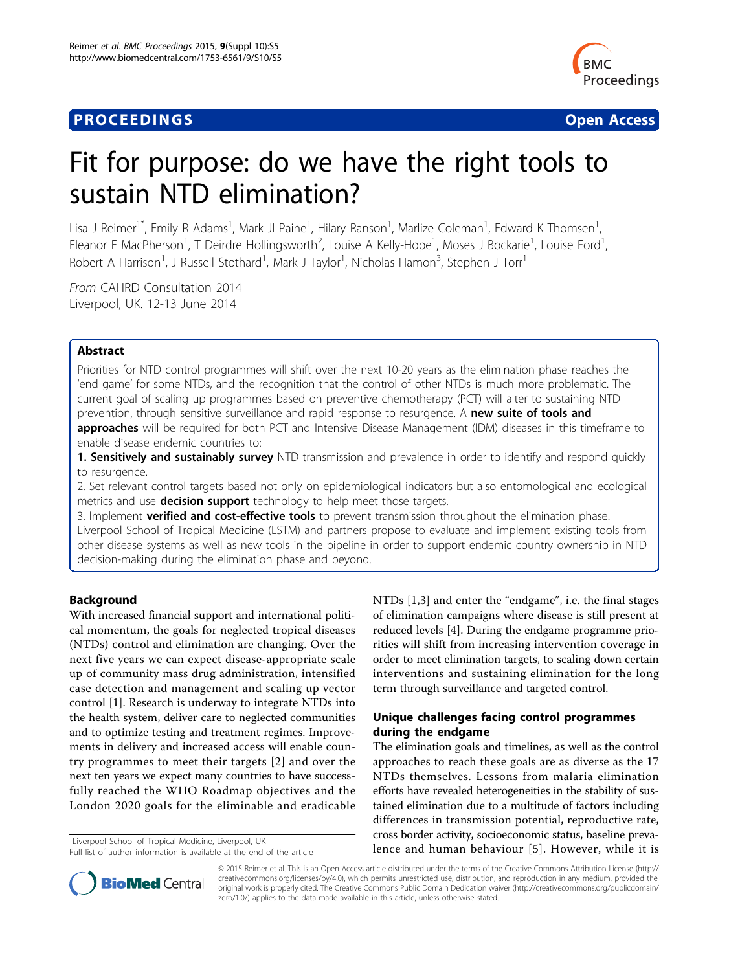## **PROCEEDINGS SECURE 2018 12:00 SECURE 2018 12:00 SECURE 2019 12:00 SECURE 2019 12:00 SECURE 2019 12:00 SECURE 30 SECURE 2019 12:00 SECURE 2019 12:00 SECURE 2019 12:00 SECURE 2019 12:00 SECURE 2019 12:00 SECURE 2019 12:00**



# Fit for purpose: do we have the right tools to sustain NTD elimination?

Lisa J Reimer<sup>1\*</sup>, Emily R Adams<sup>1</sup>, Mark JI Paine<sup>1</sup>, Hilary Ranson<sup>1</sup>, Marlize Coleman<sup>1</sup>, Edward K Thomsen<sup>1</sup> , Eleanor E MacPherson<sup>1</sup>, T Deirdre Hollingsworth<sup>2</sup>, Louise A Kelly-Hope<sup>1</sup>, Moses J Bockarie<sup>1</sup>, Louise Ford<sup>1</sup> , Robert A Harrison<sup>1</sup>, J Russell Stothard<sup>1</sup>, Mark J Taylor<sup>1</sup>, Nicholas Hamon<sup>3</sup>, Stephen J Torr<sup>1</sup>

From CAHRD Consultation 2014 Liverpool, UK. 12-13 June 2014

#### Abstract

Priorities for NTD control programmes will shift over the next 10-20 years as the elimination phase reaches the 'end game' for some NTDs, and the recognition that the control of other NTDs is much more problematic. The current goal of scaling up programmes based on preventive chemotherapy (PCT) will alter to sustaining NTD prevention, through sensitive surveillance and rapid response to resurgence. A new suite of tools and approaches will be required for both PCT and Intensive Disease Management (IDM) diseases in this timeframe to enable disease endemic countries to:

1. Sensitively and sustainably survey NTD transmission and prevalence in order to identify and respond quickly to resurgence.

2. Set relevant control targets based not only on epidemiological indicators but also entomological and ecological metrics and use **decision support** technology to help meet those targets.

3. Implement verified and cost-effective tools to prevent transmission throughout the elimination phase.

Liverpool School of Tropical Medicine (LSTM) and partners propose to evaluate and implement existing tools from other disease systems as well as new tools in the pipeline in order to support endemic country ownership in NTD decision-making during the elimination phase and beyond.

#### Background

With increased financial support and international political momentum, the goals for neglected tropical diseases (NTDs) control and elimination are changing. Over the next five years we can expect disease-appropriate scale up of community mass drug administration, intensified case detection and management and scaling up vector control [\[1](#page-4-0)]. Research is underway to integrate NTDs into the health system, deliver care to neglected communities and to optimize testing and treatment regimes. Improvements in delivery and increased access will enable country programmes to meet their targets [[2\]](#page-4-0) and over the next ten years we expect many countries to have successfully reached the WHO Roadmap objectives and the London 2020 goals for the eliminable and eradicable

<sup>1</sup> Liverpool School of Tropical Medicine, Liverpool, UK Full list of author information is available at the end of the article NTDs [[1,3](#page-4-0)] and enter the "endgame", i.e. the final stages of elimination campaigns where disease is still present at reduced levels [\[4](#page-4-0)]. During the endgame programme priorities will shift from increasing intervention coverage in order to meet elimination targets, to scaling down certain interventions and sustaining elimination for the long term through surveillance and targeted control.

### Unique challenges facing control programmes during the endgame

The elimination goals and timelines, as well as the control approaches to reach these goals are as diverse as the 17 NTDs themselves. Lessons from malaria elimination efforts have revealed heterogeneities in the stability of sustained elimination due to a multitude of factors including differences in transmission potential, reproductive rate, cross border activity, socioeconomic status, baseline prevalence and human behaviour [[5\]](#page-4-0). However, while it is



© 2015 Reimer et al. This is an Open Access article distributed under the terms of the Creative Commons Attribution License [\(http://](http://creativecommons.org/licenses/by/4.0) [creativecommons.org/licenses/by/4.0](http://creativecommons.org/licenses/by/4.0)), which permits unrestricted use, distribution, and reproduction in any medium, provided the original work is properly cited. The Creative Commons Public Domain Dedication waiver ([http://creativecommons.org/publicdomain/](http://creativecommons.org/publicdomain/zero/1.0/) [zero/1.0/](http://creativecommons.org/publicdomain/zero/1.0/)) applies to the data made available in this article, unless otherwise stated.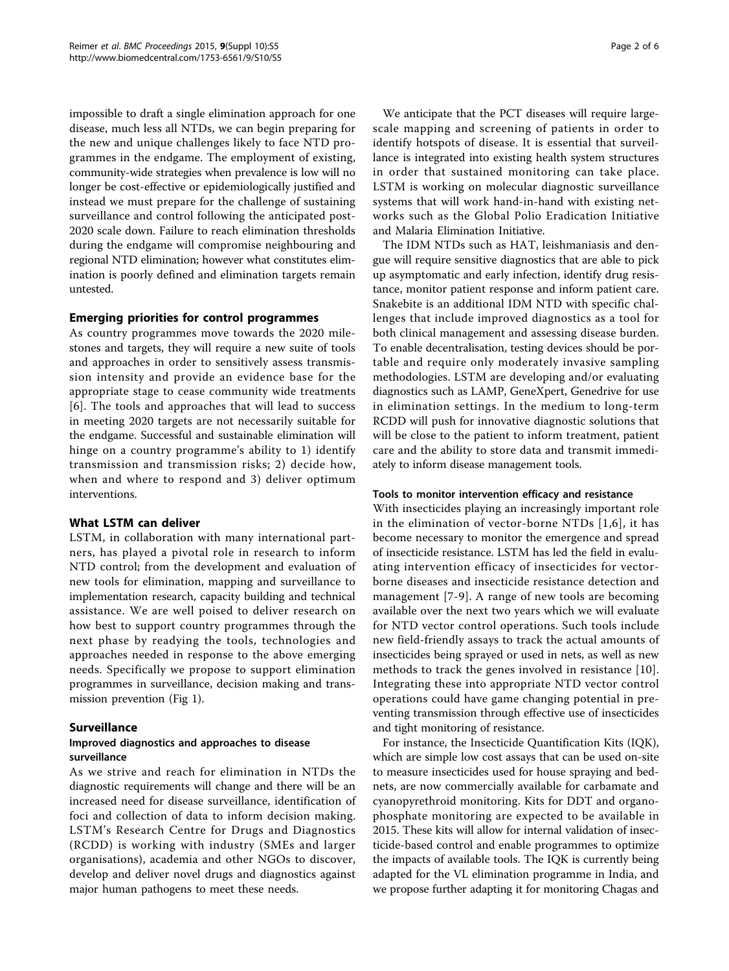impossible to draft a single elimination approach for one disease, much less all NTDs, we can begin preparing for the new and unique challenges likely to face NTD programmes in the endgame. The employment of existing, community-wide strategies when prevalence is low will no longer be cost-effective or epidemiologically justified and instead we must prepare for the challenge of sustaining surveillance and control following the anticipated post-2020 scale down. Failure to reach elimination thresholds during the endgame will compromise neighbouring and regional NTD elimination; however what constitutes elimination is poorly defined and elimination targets remain untested.

#### Emerging priorities for control programmes

As country programmes move towards the 2020 milestones and targets, they will require a new suite of tools and approaches in order to sensitively assess transmission intensity and provide an evidence base for the appropriate stage to cease community wide treatments [[6](#page-4-0)]. The tools and approaches that will lead to success in meeting 2020 targets are not necessarily suitable for the endgame. Successful and sustainable elimination will hinge on a country programme's ability to 1) identify transmission and transmission risks; 2) decide how, when and where to respond and 3) deliver optimum interventions.

#### What LSTM can deliver

LSTM, in collaboration with many international partners, has played a pivotal role in research to inform NTD control; from the development and evaluation of new tools for elimination, mapping and surveillance to implementation research, capacity building and technical assistance. We are well poised to deliver research on how best to support country programmes through the next phase by readying the tools, technologies and approaches needed in response to the above emerging needs. Specifically we propose to support elimination programmes in surveillance, decision making and transmission prevention (Fig [1\)](#page-2-0).

#### Surveillance

#### Improved diagnostics and approaches to disease surveillance

As we strive and reach for elimination in NTDs the diagnostic requirements will change and there will be an increased need for disease surveillance, identification of foci and collection of data to inform decision making. LSTM's Research Centre for Drugs and Diagnostics (RCDD) is working with industry (SMEs and larger organisations), academia and other NGOs to discover, develop and deliver novel drugs and diagnostics against major human pathogens to meet these needs.

We anticipate that the PCT diseases will require largescale mapping and screening of patients in order to identify hotspots of disease. It is essential that surveillance is integrated into existing health system structures in order that sustained monitoring can take place. LSTM is working on molecular diagnostic surveillance systems that will work hand-in-hand with existing networks such as the Global Polio Eradication Initiative and Malaria Elimination Initiative.

The IDM NTDs such as HAT, leishmaniasis and dengue will require sensitive diagnostics that are able to pick up asymptomatic and early infection, identify drug resistance, monitor patient response and inform patient care. Snakebite is an additional IDM NTD with specific challenges that include improved diagnostics as a tool for both clinical management and assessing disease burden. To enable decentralisation, testing devices should be portable and require only moderately invasive sampling methodologies. LSTM are developing and/or evaluating diagnostics such as LAMP, GeneXpert, Genedrive for use in elimination settings. In the medium to long-term RCDD will push for innovative diagnostic solutions that will be close to the patient to inform treatment, patient care and the ability to store data and transmit immediately to inform disease management tools.

#### Tools to monitor intervention efficacy and resistance

With insecticides playing an increasingly important role in the elimination of vector-borne NTDs [\[1,6](#page-4-0)], it has become necessary to monitor the emergence and spread of insecticide resistance. LSTM has led the field in evaluating intervention efficacy of insecticides for vectorborne diseases and insecticide resistance detection and management [[7](#page-4-0)-[9\]](#page-4-0). A range of new tools are becoming available over the next two years which we will evaluate for NTD vector control operations. Such tools include new field-friendly assays to track the actual amounts of insecticides being sprayed or used in nets, as well as new methods to track the genes involved in resistance [[10](#page-4-0)]. Integrating these into appropriate NTD vector control operations could have game changing potential in preventing transmission through effective use of insecticides and tight monitoring of resistance.

For instance, the Insecticide Quantification Kits (IQK), which are simple low cost assays that can be used on-site to measure insecticides used for house spraying and bednets, are now commercially available for carbamate and cyanopyrethroid monitoring. Kits for DDT and organophosphate monitoring are expected to be available in 2015. These kits will allow for internal validation of insecticide-based control and enable programmes to optimize the impacts of available tools. The IQK is currently being adapted for the VL elimination programme in India, and we propose further adapting it for monitoring Chagas and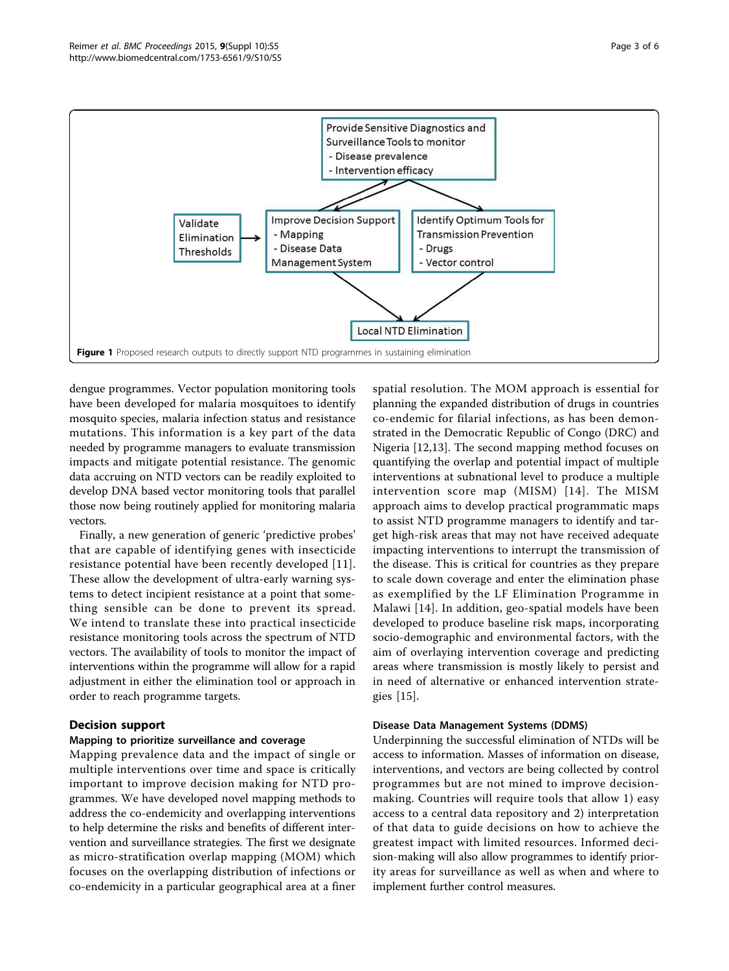<span id="page-2-0"></span>

dengue programmes. Vector population monitoring tools have been developed for malaria mosquitoes to identify mosquito species, malaria infection status and resistance mutations. This information is a key part of the data needed by programme managers to evaluate transmission impacts and mitigate potential resistance. The genomic data accruing on NTD vectors can be readily exploited to develop DNA based vector monitoring tools that parallel those now being routinely applied for monitoring malaria vectors.

Finally, a new generation of generic 'predictive probes' that are capable of identifying genes with insecticide resistance potential have been recently developed [[11](#page-4-0)]. These allow the development of ultra-early warning systems to detect incipient resistance at a point that something sensible can be done to prevent its spread. We intend to translate these into practical insecticide resistance monitoring tools across the spectrum of NTD vectors. The availability of tools to monitor the impact of interventions within the programme will allow for a rapid adjustment in either the elimination tool or approach in order to reach programme targets.

#### Decision support

#### Mapping to prioritize surveillance and coverage

Mapping prevalence data and the impact of single or multiple interventions over time and space is critically important to improve decision making for NTD programmes. We have developed novel mapping methods to address the co-endemicity and overlapping interventions to help determine the risks and benefits of different intervention and surveillance strategies. The first we designate as micro-stratification overlap mapping (MOM) which focuses on the overlapping distribution of infections or co-endemicity in a particular geographical area at a finer spatial resolution. The MOM approach is essential for planning the expanded distribution of drugs in countries co-endemic for filarial infections, as has been demonstrated in the Democratic Republic of Congo (DRC) and Nigeria [[12,13\]](#page-4-0). The second mapping method focuses on quantifying the overlap and potential impact of multiple interventions at subnational level to produce a multiple intervention score map (MISM) [[14\]](#page-4-0). The MISM approach aims to develop practical programmatic maps to assist NTD programme managers to identify and target high-risk areas that may not have received adequate impacting interventions to interrupt the transmission of the disease. This is critical for countries as they prepare to scale down coverage and enter the elimination phase as exemplified by the LF Elimination Programme in Malawi [[14](#page-4-0)]. In addition, geo-spatial models have been developed to produce baseline risk maps, incorporating socio-demographic and environmental factors, with the aim of overlaying intervention coverage and predicting areas where transmission is mostly likely to persist and in need of alternative or enhanced intervention strategies [\[15](#page-5-0)].

#### Disease Data Management Systems (DDMS)

Underpinning the successful elimination of NTDs will be access to information. Masses of information on disease, interventions, and vectors are being collected by control programmes but are not mined to improve decisionmaking. Countries will require tools that allow 1) easy access to a central data repository and 2) interpretation of that data to guide decisions on how to achieve the greatest impact with limited resources. Informed decision-making will also allow programmes to identify priority areas for surveillance as well as when and where to implement further control measures.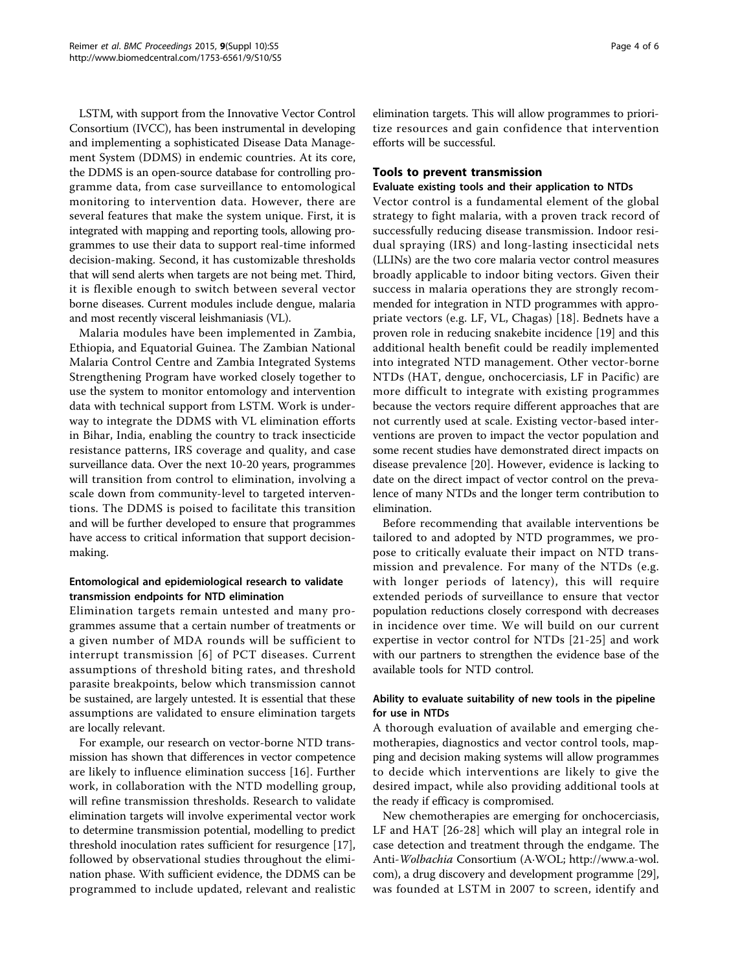LSTM, with support from the Innovative Vector Control Consortium (IVCC), has been instrumental in developing and implementing a sophisticated Disease Data Management System (DDMS) in endemic countries. At its core, the DDMS is an open-source database for controlling programme data, from case surveillance to entomological monitoring to intervention data. However, there are several features that make the system unique. First, it is integrated with mapping and reporting tools, allowing programmes to use their data to support real-time informed decision-making. Second, it has customizable thresholds that will send alerts when targets are not being met. Third, it is flexible enough to switch between several vector borne diseases. Current modules include dengue, malaria and most recently visceral leishmaniasis (VL).

Malaria modules have been implemented in Zambia, Ethiopia, and Equatorial Guinea. The Zambian National Malaria Control Centre and Zambia Integrated Systems Strengthening Program have worked closely together to use the system to monitor entomology and intervention data with technical support from LSTM. Work is underway to integrate the DDMS with VL elimination efforts in Bihar, India, enabling the country to track insecticide resistance patterns, IRS coverage and quality, and case surveillance data. Over the next 10-20 years, programmes will transition from control to elimination, involving a scale down from community-level to targeted interventions. The DDMS is poised to facilitate this transition and will be further developed to ensure that programmes have access to critical information that support decisionmaking.

#### Entomological and epidemiological research to validate transmission endpoints for NTD elimination

Elimination targets remain untested and many programmes assume that a certain number of treatments or a given number of MDA rounds will be sufficient to interrupt transmission [[6\]](#page-4-0) of PCT diseases. Current assumptions of threshold biting rates, and threshold parasite breakpoints, below which transmission cannot be sustained, are largely untested. It is essential that these assumptions are validated to ensure elimination targets are locally relevant.

For example, our research on vector-borne NTD transmission has shown that differences in vector competence are likely to influence elimination success [[16](#page-5-0)]. Further work, in collaboration with the NTD modelling group, will refine transmission thresholds. Research to validate elimination targets will involve experimental vector work to determine transmission potential, modelling to predict threshold inoculation rates sufficient for resurgence [\[17](#page-5-0)], followed by observational studies throughout the elimination phase. With sufficient evidence, the DDMS can be programmed to include updated, relevant and realistic

elimination targets. This will allow programmes to prioritize resources and gain confidence that intervention efforts will be successful.

#### Tools to prevent transmission

#### Evaluate existing tools and their application to NTDs

Vector control is a fundamental element of the global strategy to fight malaria, with a proven track record of successfully reducing disease transmission. Indoor residual spraying (IRS) and long-lasting insecticidal nets (LLINs) are the two core malaria vector control measures broadly applicable to indoor biting vectors. Given their success in malaria operations they are strongly recommended for integration in NTD programmes with appropriate vectors (e.g. LF, VL, Chagas) [[18\]](#page-5-0). Bednets have a proven role in reducing snakebite incidence [\[19\]](#page-5-0) and this additional health benefit could be readily implemented into integrated NTD management. Other vector-borne NTDs (HAT, dengue, onchocerciasis, LF in Pacific) are more difficult to integrate with existing programmes because the vectors require different approaches that are not currently used at scale. Existing vector-based interventions are proven to impact the vector population and some recent studies have demonstrated direct impacts on disease prevalence [[20\]](#page-5-0). However, evidence is lacking to date on the direct impact of vector control on the prevalence of many NTDs and the longer term contribution to elimination.

Before recommending that available interventions be tailored to and adopted by NTD programmes, we propose to critically evaluate their impact on NTD transmission and prevalence. For many of the NTDs (e.g. with longer periods of latency), this will require extended periods of surveillance to ensure that vector population reductions closely correspond with decreases in incidence over time. We will build on our current expertise in vector control for NTDs [\[21](#page-5-0)-[25](#page-5-0)] and work with our partners to strengthen the evidence base of the available tools for NTD control.

#### Ability to evaluate suitability of new tools in the pipeline for use in NTDs

A thorough evaluation of available and emerging chemotherapies, diagnostics and vector control tools, mapping and decision making systems will allow programmes to decide which interventions are likely to give the desired impact, while also providing additional tools at the ready if efficacy is compromised.

New chemotherapies are emerging for onchocerciasis, LF and HAT [\[26](#page-5-0)-[28](#page-5-0)] which will play an integral role in case detection and treatment through the endgame. The Anti-Wolbachia Consortium (A·WOL; [http://www.a-wol.](http://www.a-wol.com) [com](http://www.a-wol.com)), a drug discovery and development programme [[29](#page-5-0)], was founded at LSTM in 2007 to screen, identify and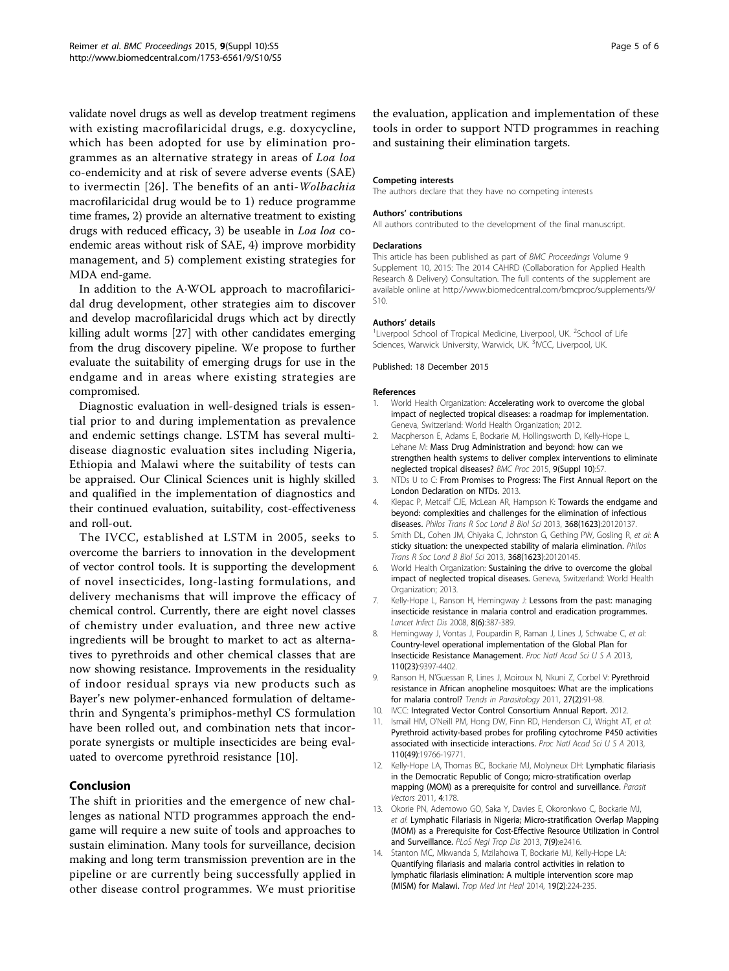<span id="page-4-0"></span>validate novel drugs as well as develop treatment regimens with existing macrofilaricidal drugs, e.g. doxycycline, which has been adopted for use by elimination programmes as an alternative strategy in areas of Loa loa co-endemicity and at risk of severe adverse events (SAE) to ivermectin [\[26\]](#page-5-0). The benefits of an anti-Wolbachia macrofilaricidal drug would be to 1) reduce programme time frames, 2) provide an alternative treatment to existing drugs with reduced efficacy, 3) be useable in Loa loa coendemic areas without risk of SAE, 4) improve morbidity management, and 5) complement existing strategies for MDA end-game.

In addition to the A·WOL approach to macrofilaricidal drug development, other strategies aim to discover and develop macrofilaricidal drugs which act by directly killing adult worms [\[27](#page-5-0)] with other candidates emerging from the drug discovery pipeline. We propose to further evaluate the suitability of emerging drugs for use in the endgame and in areas where existing strategies are compromised.

Diagnostic evaluation in well-designed trials is essential prior to and during implementation as prevalence and endemic settings change. LSTM has several multidisease diagnostic evaluation sites including Nigeria, Ethiopia and Malawi where the suitability of tests can be appraised. Our Clinical Sciences unit is highly skilled and qualified in the implementation of diagnostics and their continued evaluation, suitability, cost-effectiveness and roll-out.

The IVCC, established at LSTM in 2005, seeks to overcome the barriers to innovation in the development of vector control tools. It is supporting the development of novel insecticides, long-lasting formulations, and delivery mechanisms that will improve the efficacy of chemical control. Currently, there are eight novel classes of chemistry under evaluation, and three new active ingredients will be brought to market to act as alternatives to pyrethroids and other chemical classes that are now showing resistance. Improvements in the residuality of indoor residual sprays via new products such as Bayer's new polymer-enhanced formulation of deltamethrin and Syngenta's primiphos-methyl CS formulation have been rolled out, and combination nets that incorporate synergists or multiple insecticides are being evaluated to overcome pyrethroid resistance [10].

#### Conclusion

The shift in priorities and the emergence of new challenges as national NTD programmes approach the endgame will require a new suite of tools and approaches to sustain elimination. Many tools for surveillance, decision making and long term transmission prevention are in the pipeline or are currently being successfully applied in other disease control programmes. We must prioritise

the evaluation, application and implementation of these tools in order to support NTD programmes in reaching and sustaining their elimination targets.

#### Competing interests

The authors declare that they have no competing interests

#### Authors' contributions

All authors contributed to the development of the final manuscript.

#### Declarations

This article has been published as part of BMC Proceedings Volume 9 Supplement 10, 2015: The 2014 CAHRD (Collaboration for Applied Health Research & Delivery) Consultation. The full contents of the supplement are available online at [http://www.biomedcentral.com/bmcproc/supplements/9/](http://www.biomedcentral.com/bmcproc/supplements/9/S10) [S10](http://www.biomedcentral.com/bmcproc/supplements/9/S10).

**Authors' details**<br><sup>1</sup>Liverpool School of Tropical Medicine, Liverpool, UK. <sup>2</sup>School of Life Sciences, Warwick University, Warwick, UK. <sup>3</sup>IVCC, Liverpool, UK

#### Published: 18 December 2015

#### References

- 1. World Health Organization: Accelerating work to overcome the global impact of neglected tropical diseases: a roadmap for implementation. Geneva, Switzerland: World Health Organization; 2012.
- 2. Macpherson E, Adams E, Bockarie M, Hollingsworth D, Kelly-Hope L, Lehane M: Mass Drug Administration and beyond: how can we strengthen health systems to deliver complex interventions to eliminate neglected tropical diseases? BMC Proc 2015, 9(Suppl 10):S7.
- 3. NTDs U to C: From Promises to Progress: The First Annual Report on the London Declaration on NTDs. 2013.
- 4. Klepac P, Metcalf CJE, McLean AR, Hampson K: Towards the endgame and beyond: complexities and challenges for the elimination of infectious diseases. Philos Trans R Soc Lond B Biol Sci 2013, 368(1623):20120137.
- 5. Smith DL, Cohen JM, Chiyaka C, Johnston G, Gething PW, Gosling R, et al: A sticky situation: the unexpected stability of malaria elimination. Philos Trans R Soc Lond B Biol Sci 2013, 368(1623):20120145.
- 6. World Health Organization: Sustaining the drive to overcome the global impact of neglected tropical diseases. Geneva, Switzerland: World Health Organization; 2013.
- 7. Kelly-Hope L, Ranson H, Hemingway J: Lessons from the past: managing insecticide resistance in malaria control and eradication programmes. Lancet Infect Dis 2008, 8(6):387-389.
- 8. Hemingway J, Vontas J, Poupardin R, Raman J, Lines J, Schwabe C, et al: Country-level operational implementation of the Global Plan for Insecticide Resistance Management. Proc Natl Acad Sci U S A 2013, 110(23):9397-4402.
- 9. Ranson H, N'Guessan R, Lines J, Moiroux N, Nkuni Z, Corbel V: Pyrethroid resistance in African anopheline mosquitoes: What are the implications for malaria control? Trends in Parasitology 2011, 27(2):91-98.
- 10. IVCC: Integrated Vector Control Consortium Annual Report. 2012.
- 11. Ismail HM, O'Neill PM, Hong DW, Finn RD, Henderson CJ, Wright AT, et al: Pyrethroid activity-based probes for profiling cytochrome P450 activities associated with insecticide interactions. Proc Natl Acad Sci U S A 2013, 110(49):19766-19771.
- 12. Kelly-Hope LA, Thomas BC, Bockarie MJ, Molyneux DH: Lymphatic filariasis in the Democratic Republic of Congo; micro-stratification overlap mapping (MOM) as a prerequisite for control and surveillance. Parasit Vectors 2011, 4:178.
- 13. Okorie PN, Ademowo GO, Saka Y, Davies E, Okoronkwo C, Bockarie MJ, et al: Lymphatic Filariasis in Nigeria; Micro-stratification Overlap Mapping (MOM) as a Prerequisite for Cost-Effective Resource Utilization in Control and Surveillance. PLoS Negl Trop Dis 2013, 7(9):e2416.
- 14. Stanton MC, Mkwanda S, Mzilahowa T, Bockarie MJ, Kelly-Hope LA: Quantifying filariasis and malaria control activities in relation to lymphatic filariasis elimination: A multiple intervention score map (MISM) for Malawi. Trop Med Int Heal 2014, 19(2):224-235.